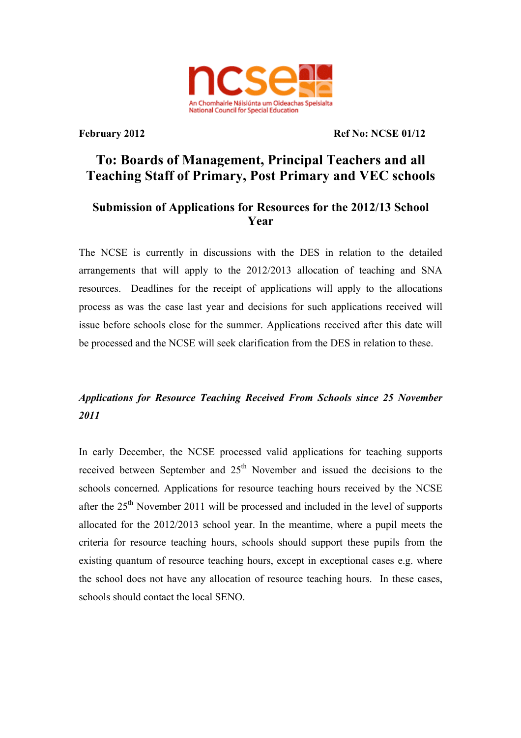

**February 2012** Ref No: NCSE 01/12

# **To: Boards of Management, Principal Teachers and all Teaching Staff of Primary, Post Primary and VEC schools**

### **Submission of Applications for Resources for the 2012/13 School Year**

The NCSE is currently in discussions with the DES in relation to the detailed arrangements that will apply to the 2012/2013 allocation of teaching and SNA resources. Deadlines for the receipt of applications will apply to the allocations process as was the case last year and decisions for such applications received will issue before schools close for the summer. Applications received after this date will be processed and the NCSE will seek clarification from the DES in relation to these.

## *Applications for Resource Teaching Received From Schools since 25 November 2011*

In early December, the NCSE processed valid applications for teaching supports received between September and  $25<sup>th</sup>$  November and issued the decisions to the schools concerned. Applications for resource teaching hours received by the NCSE after the  $25<sup>th</sup>$  November 2011 will be processed and included in the level of supports allocated for the 2012/2013 school year. In the meantime, where a pupil meets the criteria for resource teaching hours, schools should support these pupils from the existing quantum of resource teaching hours, except in exceptional cases e.g. where the school does not have any allocation of resource teaching hours. In these cases, schools should contact the local SENO.